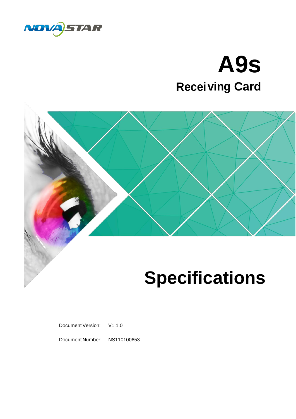

# **A9s ving Card Recei**



## **Specifications**

Document Version: V1.1.0

Document Number: NS110100653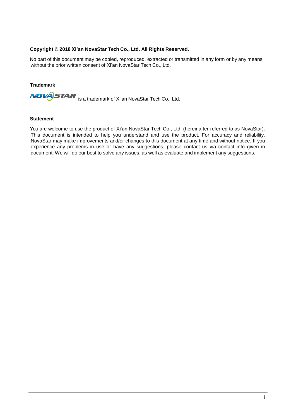#### **Copyright © 2018 Xi'an NovaStar Tech Co., Ltd. All Rights Reserved.**

No part of this document may be copied, reproduced, extracted or transmitted in any form or by any means without the prior written consent of Xi'an NovaStar Tech Co., Ltd.

#### **Trademark**

**NOVACTAR** is a trademark of Xi'an NovaStar Tech Co., Ltd.

#### **Statement**

You are welcome to use the product of Xi'an NovaStar Tech Co., Ltd. (hereinafter referred to as NovaStar). This document is intended to help you understand and use the product. For accuracy and reliability, NovaStar may make improvements and/or changes to this document at any time and without notice. If you experience any problems in use or have any suggestions, please contact us via contact info given in document. We will do our best to solve any issues, as well as evaluate and implement any suggestions.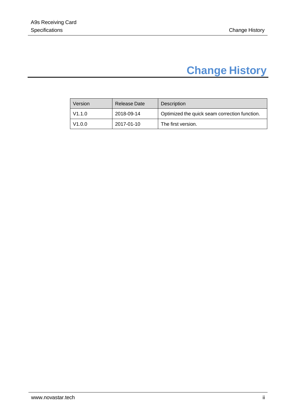## **Change History**

<span id="page-2-0"></span>

| Version | Release Date | <b>Description</b>                            |
|---------|--------------|-----------------------------------------------|
| V1.1.0  | 2018-09-14   | Optimized the quick seam correction function. |
| V1.0.0  | 2017-01-10   | The first version.                            |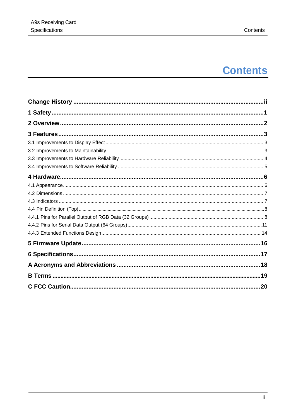## **Contents**

| 3 Features |  |
|------------|--|
|            |  |
|            |  |
|            |  |
|            |  |
|            |  |
|            |  |
|            |  |
|            |  |
|            |  |
|            |  |
|            |  |
|            |  |
|            |  |
|            |  |
|            |  |
|            |  |
|            |  |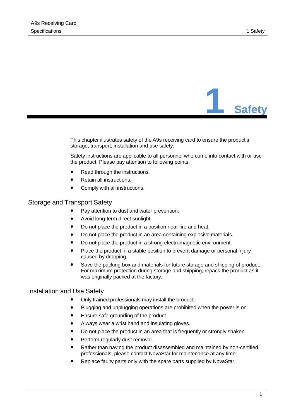

<span id="page-4-0"></span>This chapter illustrates safety of the A9s receiving card to ensure the product's storage, transport, installation and use safety.

Safety instructions are applicable to all personnel who come into contact with or use the product. Please pay attention to following points.

- ⚫ Read through the instructions.
- ⚫ Retain all instructions.
- ⚫ Comply with all instructions.

#### Storage and Transport Safety

- Pay attention to dust and water prevention.
- ⚫ Avoid long-term direct sunlight.
- Do not place the product in a position near fire and heat.
- Do not place the product in an area containing explosive materials.
- Do not place the product in a strong electromagnetic environment.
- Place the product in a stable position to prevent damage or personal injury caused by dropping.
- ⚫ Save the packing box and materials for future storage and shipping of product. For maximum protection during storage and shipping, repack the product as it was originally packed at the factory.

#### Installation and Use Safety

- ⚫ Only trained professionals may install the product.
- Plugging and unplugging operations are prohibited when the power is on.
- Ensure safe grounding of the product.
- ⚫ Always wear a wrist band and insulating gloves.
- Do not place the product in an area that is frequently or strongly shaken.
- Perform regularly dust removal.
- ⚫ Rather than having the product disassembled and maintained by non-certified professionals, please contact NovaStar for maintenance at any time.
- ⚫ Replace faulty parts only with the spare parts supplied by NovaStar.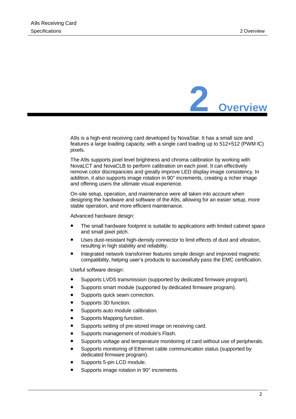

<span id="page-5-0"></span>A9s is a high-end receiving card developed by NovaStar. It has a small size and features a large loading capacity, with a single card loading up to 512×512 (PWM IC) pixels.

The A9s supports pixel level brightness and chroma calibration by working with NovaLCT and NovaCLB to perform calibration on each pixel. It can effectively remove color discrepancies and greatly improve LED display image consistency. In addition, it also supports image rotation in 90°increments, creating a richer image and offering users the ultimate visual experience.

On-site setup, operation, and maintenance were all taken into account when designing the hardware and software of the A9s, allowing for an easier setup, more stable operation, and more efficient maintenance.

Advanced hardware design:

- ⚫ The small hardware footprint is suitable to applications with limited cabinet space and small pixel pitch.
- ⚫ Uses dust-resistant high-density connector to limit effects of dust and vibration, resulting in high stability and reliability.
- ⚫ Integrated network transformer features simple design and improved magnetic compatibility, helping user's products to successfully pass the EMC certification.

Useful software design:

- ⚫ Supports LVDS transmission (supported by dedicated firmware program).
- ⚫ Supports smart module (supported by dedicated firmware program).
- ⚫ Supports quick seam correction.
- Supports 3D function.
- ⚫ Supports auto module calibration.
- Supports Mapping function.
- ⚫ Supports setting of pre-stored image on receiving card.
- ⚫ Supports management of module's Flash.
- Supports voltage and temperature monitoring of card without use of peripherals.
- ⚫ Supports monitoring of Ethernet cable communication status (supported by dedicated firmware program).
- ⚫ Supports 5-pin LCD module.
- Supports image rotation in 90° increments.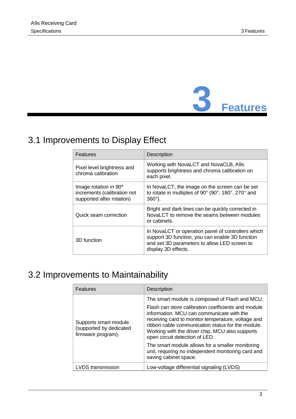

## <span id="page-6-1"></span><span id="page-6-0"></span>3.1 Improvements to Display Effect

| Features                                                                          | <b>Description</b>                                                                                                                                                           |  |  |
|-----------------------------------------------------------------------------------|------------------------------------------------------------------------------------------------------------------------------------------------------------------------------|--|--|
| Pixel level brightness and<br>chroma calibration                                  | Working with NovaLCT and NovaCLB, A9s<br>supports brightness and chroma calibration on<br>each pixel.                                                                        |  |  |
| Image rotation in 90°<br>increments (calibration not<br>supported after rotation) | In NovaLCT, the image on the screen can be set<br>to rotate in multiples of 90° (90°, 180°, 270° and<br>$360^\circ$ ).                                                       |  |  |
| Quick seam correction                                                             | Bright and dark lines can be quickly corrected in<br>NovaLCT to remove the seams between modules<br>or cabinets.                                                             |  |  |
| 3D function                                                                       | In NovaLCT or operation panel of controllers which<br>support 3D function, you can enable 3D function<br>and set 3D parameters to allow LED screen to<br>display 3D effects. |  |  |

## <span id="page-6-2"></span>3.2 Improvements to Maintainability

| Features                                                               | <b>Description</b>                                                                                                                                                                                                                                                                                                                                 |  |  |  |
|------------------------------------------------------------------------|----------------------------------------------------------------------------------------------------------------------------------------------------------------------------------------------------------------------------------------------------------------------------------------------------------------------------------------------------|--|--|--|
| Supports smart module<br>(supported by dedicated<br>firmware program). | The smart module is composed of Flash and MCU.<br>Flash can store calibration coefficients and module<br>information. MCU can communicate with the<br>receiving card to monitor temperature, voltage and<br>ribbon cable communication status for the module.<br>Working with the driver chip, MCU also supports<br>open circuit detection of LED. |  |  |  |
|                                                                        | The smart module allows for a smaller monitoring<br>unit, requiring no independent monitoring card and<br>saving cabinet space.                                                                                                                                                                                                                    |  |  |  |
| <b>LVDS</b> transmission                                               | Low-voltage differential signaling (LVDS)                                                                                                                                                                                                                                                                                                          |  |  |  |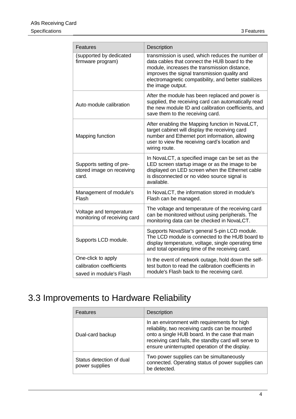| Features                                                                  | Description                                                                                                                                                                                                                                                                     |
|---------------------------------------------------------------------------|---------------------------------------------------------------------------------------------------------------------------------------------------------------------------------------------------------------------------------------------------------------------------------|
| (supported by dedicated<br>firmware program)                              | transmission is used, which reduces the number of<br>data cables that connect the HUB board to the<br>module, increases the transmission distance,<br>improves the signal transmission quality and<br>electromagnetic compatibility, and better stabilizes<br>the image output. |
| Auto module calibration                                                   | After the module has been replaced and power is<br>supplied, the receiving card can automatically read<br>the new module ID and calibration coefficients, and<br>save them to the receiving card.                                                                               |
| Mapping function                                                          | After enabling the Mapping function in NovaLCT,<br>target cabinet will display the receiving card<br>number and Ethernet port information, allowing<br>user to view the receiving card's location and<br>wiring route.                                                          |
| Supports setting of pre-<br>stored image on receiving<br>card.            | In NovaLCT, a specified image can be set as the<br>LED screen startup image or as the image to be<br>displayed on LED screen when the Ethernet cable<br>is disconnected or no video source signal is<br>available.                                                              |
| Management of module's<br>Flash                                           | In NovaLCT, the information stored in module's<br>Flash can be managed.                                                                                                                                                                                                         |
| Voltage and temperature<br>monitoring of receiving card                   | The voltage and temperature of the receiving card<br>can be monitored without using peripherals. The<br>monitoring data can be checked in NovaLCT.                                                                                                                              |
| Supports LCD module.                                                      | Supports NovaStar's general 5-pin LCD module.<br>The LCD module is connected to the HUB board to<br>display temperature, voltage, single operating time<br>and total operating time of the receiving card.                                                                      |
| One-click to apply<br>calibration coefficients<br>saved in module's Flash | In the event of network outage, hold down the self-<br>test button to read the calibration coefficients in<br>module's Flash back to the receiving card.                                                                                                                        |

## <span id="page-7-0"></span>3.3 Improvements to Hardware Reliability

| Features                                   | <b>Description</b>                                                                                                                                                                                                                                          |  |  |
|--------------------------------------------|-------------------------------------------------------------------------------------------------------------------------------------------------------------------------------------------------------------------------------------------------------------|--|--|
| Dual-card backup                           | In an environment with requirements for high<br>reliability, two receiving cards can be mounted<br>onto a single HUB board. In the case that main<br>receiving card fails, the standby card will serve to<br>ensure uninterrupted operation of the display. |  |  |
| Status detection of dual<br>power supplies | Two power supplies can be simultaneously<br>connected. Operating status of power supplies can<br>be detected.                                                                                                                                               |  |  |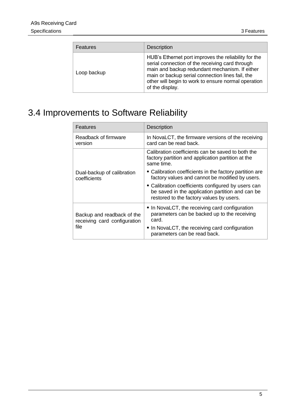| Features    | <b>Description</b>                                                                                                                                                                                                                                                                      |  |
|-------------|-----------------------------------------------------------------------------------------------------------------------------------------------------------------------------------------------------------------------------------------------------------------------------------------|--|
| Loop backup | HUB's Ethernet port improves the reliability for the<br>serial connection of the receiving card through<br>main and backup redundant mechanism. If either<br>main or backup serial connection lines fail, the<br>other will begin to work to ensure normal operation<br>of the display. |  |

## <span id="page-8-0"></span>3.4 Improvements to Software Reliability

| Features                                                   | <b>Description</b>                                                                                                                                 |  |  |  |
|------------------------------------------------------------|----------------------------------------------------------------------------------------------------------------------------------------------------|--|--|--|
| Readback of firmware<br>version                            | In NovaLCT, the firmware versions of the receiving<br>card can be read back.                                                                       |  |  |  |
|                                                            | Calibration coefficients can be saved to both the<br>factory partition and application partition at the<br>same time.                              |  |  |  |
| Dual-backup of calibration<br>coefficients                 | • Calibration coefficients in the factory partition are<br>factory values and cannot be modified by users.                                         |  |  |  |
|                                                            | • Calibration coefficients configured by users can<br>be saved in the application partition and can be<br>restored to the factory values by users. |  |  |  |
| Backup and readback of the<br>receiving card configuration | • In NovaLCT, the receiving card configuration<br>parameters can be backed up to the receiving<br>card.                                            |  |  |  |
| file                                                       | • In NovaLCT, the receiving card configuration<br>parameters can be read back.                                                                     |  |  |  |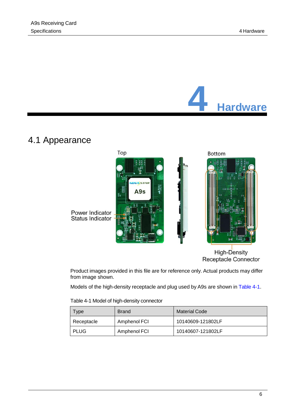

## <span id="page-9-1"></span><span id="page-9-0"></span>4.1 Appearance



High-Density Receptacle Connector

Product images provided in this file are for reference only. Actual products may differ from image shown.

Models of the high-density receptacle and plug used by A9s are shown in [Table](#page-9-2) 4-1.

|  |  | Table 4-1 Model of high-density connector |
|--|--|-------------------------------------------|
|  |  |                                           |

<span id="page-9-2"></span>

| <b>Type</b> | <b>Brand</b> | <b>Material Code</b> |  |
|-------------|--------------|----------------------|--|
| Receptacle  | Amphenol FCI | 10140609-121802LF    |  |
| <b>PLUG</b> | Amphenol FCI | 10140607-121802LF    |  |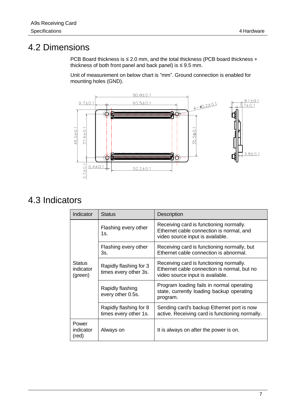## <span id="page-10-0"></span>4.2 Dimensions

PCB Board thickness is ≤ 2.0 mm, and the total thickness (PCB board thickness + thickness of both front panel and back panel) is  $\leq$  9.5 mm.

Unit of measurement on below chart is "mm". Ground connection is enabled for mounting holes (GND).



## <span id="page-10-1"></span>4.3 Indicators

| Indicator                             | <b>Status</b>                                   | Description                                                                                                                |  |  |
|---------------------------------------|-------------------------------------------------|----------------------------------------------------------------------------------------------------------------------------|--|--|
| <b>Status</b><br>indicator<br>(green) | Flashing every other<br>1s.                     | Receiving card is functioning normally.<br>Ethernet cable connection is normal, and<br>video source input is available.    |  |  |
|                                       | Flashing every other<br>3s.                     | Receiving card is functioning normally, but<br>Ethernet cable connection is abnormal.                                      |  |  |
|                                       | Rapidly flashing for 3<br>times every other 3s. | Receiving card is functioning normally.<br>Ethernet cable connection is normal, but no<br>video source input is available. |  |  |
|                                       | Rapidly flashing<br>every other 0.5s.           | Program loading fails in normal operating<br>state, currently loading backup operating<br>program.                         |  |  |
|                                       | Rapidly flashing for 8<br>times every other 1s. | Sending card's backup Ethernet port is now<br>active. Receiving card is functioning normally.                              |  |  |
| Power<br>indicator<br>(red)           | Always on                                       | It is always on after the power is on.                                                                                     |  |  |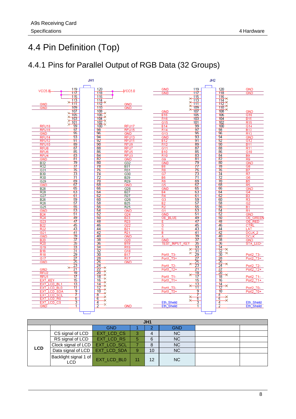## <span id="page-11-0"></span>4.4 Pin Definition (Top)

### <span id="page-11-1"></span>4.4.1 Pins for Parallel Output of RGB Data (32 Groups)



| JH <sub>1</sub> |                              |             |    |    |            |  |  |
|-----------------|------------------------------|-------------|----|----|------------|--|--|
|                 |                              | <b>GND</b>  |    | 2  | <b>GND</b> |  |  |
| <b>LCD</b>      | CS signal of LCD             | EXT_LCD_CS  | 3  | 4  | <b>NC</b>  |  |  |
|                 | RS signal of LCD             | EXT_LCD_RS  | 5  | 6  | <b>NC</b>  |  |  |
|                 | Clock signal of LCD          | EXT_LCD_SCL |    |    | <b>NC</b>  |  |  |
|                 | Data signal of LCD           | EXT_LCD_SDA | 9  | 10 | <b>NC</b>  |  |  |
|                 | Backlight signal 1 of<br>LCD | EXT_LCD_BL0 | 11 | 12 | <b>NC</b>  |  |  |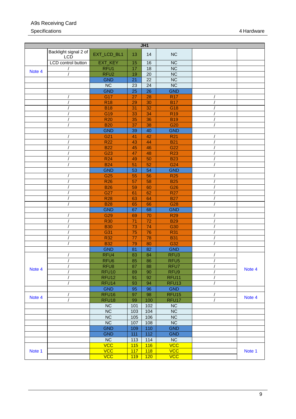#### A9s Receiving Card Specifications 4 Hardware 2001 12:00 12:00 12:00 12:00 12:00 12:00 12:00 12:00 12:00 12:00 12:00 12:00 12:00 12:00 12:00 12:00 12:00 12:00 12:00 12:00 12:00 12:00 12:00 12:00 12:00 12:00 12:00 12:00 12:00 12:00 12:00 12:00

| JH1    |                                     |                   |                 |                 |                        |          |        |
|--------|-------------------------------------|-------------------|-----------------|-----------------|------------------------|----------|--------|
|        | Backlight signal 2 of<br><b>LCD</b> | EXT_LCD_BL1       | 13              | 14              | <b>NC</b>              |          |        |
|        | LCD control button                  | EXT_KEY           | 15              | 16              | <b>NC</b>              |          |        |
| Note 4 |                                     | RFU1              | 17              | $\overline{18}$ | $\overline{\text{NC}}$ |          |        |
|        |                                     | RFU <sub>2</sub>  | 19              | 20              | $\overline{\text{NC}}$ |          |        |
|        |                                     | <b>GND</b>        | 21              | $\overline{22}$ | <b>NC</b>              |          |        |
|        |                                     | <b>NC</b>         | 23              | 24              | <b>NC</b>              |          |        |
|        |                                     | <b>GND</b>        | $\overline{25}$ | $\overline{26}$ | <b>GND</b>             |          |        |
|        |                                     | G17               | 27              | 28              | <b>R17</b>             |          |        |
|        |                                     | <b>R18</b>        | 29              | 30              | <b>B17</b>             |          |        |
|        |                                     | <b>B18</b>        | 31              | 32              | G18                    |          |        |
|        |                                     | G19               | 33              | 34              | <b>R19</b>             |          |        |
|        |                                     | <b>R20</b>        | 35              | 36              | <b>B19</b>             |          |        |
|        |                                     | <b>B20</b>        | 37              | 38              | G <sub>20</sub>        |          |        |
|        |                                     | <b>GND</b>        | 39              | 40              | <b>GND</b>             |          |        |
|        |                                     | G21               | 41              | 42              | <b>R21</b>             |          |        |
|        |                                     | <b>R22</b>        | 43              | 44              | <b>B21</b>             |          |        |
|        |                                     | <b>B22</b>        | 45              | 46              | G22                    |          |        |
|        |                                     | G <sub>23</sub>   | 47              | 48              | <b>R23</b>             |          |        |
|        |                                     | <b>R24</b>        | 49              | 50              | <b>B23</b>             |          |        |
|        |                                     | <b>B24</b>        | 51              | 52              | G <sub>24</sub>        |          |        |
|        |                                     | <b>GND</b>        | 53              | 54              | <b>GND</b>             |          |        |
|        |                                     | G <sub>25</sub>   | 55              | 56              | <b>R25</b>             |          |        |
|        |                                     | <b>R26</b>        | 57              | 58              | <b>B25</b>             |          |        |
|        |                                     | <b>B26</b>        | 59              | 60              | G26                    |          |        |
|        |                                     | G27               | 61              | 62              | <b>R27</b>             |          |        |
|        |                                     | <b>R28</b>        | 63              | 64              | <b>B27</b>             |          |        |
|        |                                     | <b>B28</b>        | 65              | 66              | G28                    |          |        |
|        |                                     | <b>GND</b>        | 67              | 68              | <b>GND</b>             |          |        |
|        |                                     | G29               | 69              | 70              | <b>R29</b>             |          |        |
|        |                                     | <b>R30</b>        | 71              | 72              | <b>B29</b>             |          |        |
|        |                                     | <b>B30</b>        | 73              | 74              | G30                    |          |        |
|        |                                     | G31               | 75              | 76              | <b>R31</b>             |          |        |
|        |                                     | <b>R32</b>        | 77              | 78              | <b>B31</b>             |          |        |
|        |                                     | <b>B32</b>        | 79              | 80              | G32                    |          |        |
|        |                                     | <b>GND</b>        | 81              | 82              | <b>GND</b>             |          |        |
|        |                                     | RFU <sub>4</sub>  | 83              | 84              | RFU <sub>3</sub>       |          |        |
|        |                                     | RFU <sub>6</sub>  | 85              | 86              | RFU <sub>5</sub>       |          |        |
| Note 4 | $\prime$                            | RFU8              | 87              | 88              | RFU7                   | $\prime$ | Note 4 |
|        |                                     | RFU <sub>10</sub> | 89              | 90              | RFU9                   |          |        |
|        |                                     | RFU <sub>12</sub> | 91              | 92              | RFU <sub>11</sub>      |          |        |
|        |                                     | RFU <sub>14</sub> | 93              | 94              | RFU <sub>13</sub>      |          |        |
|        |                                     | <b>GND</b>        | 95              | 96              | <b>GND</b>             |          |        |
| Note 4 |                                     | RFU <sub>16</sub> | 97              | 98              | RFU <sub>15</sub>      |          | Note 4 |
|        |                                     | RFU <sub>18</sub> | 99              | 100             | RFU17                  |          |        |
|        |                                     | NC                | 101             | 102             | NC                     |          |        |
|        |                                     | NC                | 103             | 104             | <b>NC</b>              |          |        |
|        |                                     | NC                | 105             | 106             | NC                     |          |        |
|        |                                     | NC                | 107             | 108             | NC                     |          |        |
|        |                                     | <b>GND</b>        | 109             | 110             | <b>GND</b>             |          |        |
|        |                                     | <b>GND</b>        | 111             | $112$           | <b>GND</b>             |          |        |
|        |                                     | NC                | 113             | 114             | NC                     |          |        |
|        |                                     | <b>VCC</b>        | 115             | 116             | <b>VCC</b>             |          |        |
| Note 1 |                                     | <b>VCC</b>        | 117             | 118             | <b>VCC</b>             |          | Note 1 |
|        |                                     | <b>VCC</b>        | 119             | 120             | <b>VCC</b>             |          |        |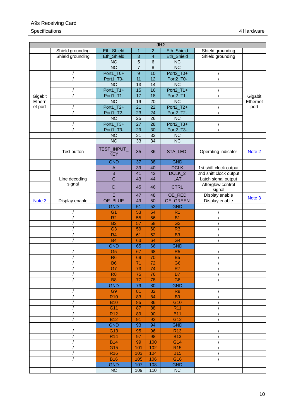#### A9s Receiving Card Specifications 4 Hardware 2001 12:00 12:00 12:00 12:00 12:00 12:00 12:00 12:00 12:00 12:00 12:00 12:00 12:00 12:00 12:00 12:00 12:00 12:00 12:00 12:00 12:00 12:00 12:00 12:00 12:00 12:00 12:00 12:00 12:00 12:00 12:00 12:00

|         |                  |                           |                  |                 | JH2                    |                             |          |
|---------|------------------|---------------------------|------------------|-----------------|------------------------|-----------------------------|----------|
|         | Shield grounding | Eth_Shield                | $\mathbf{1}$     | $\overline{a}$  | Eth_Shield             | Shield grounding            |          |
|         | Shield grounding | Eth_Shield                | $\overline{3}$   | $\overline{4}$  | Eth_Shield             | Shield grounding            |          |
|         |                  | <b>NC</b>                 | $\overline{5}$   | 6               | <b>NC</b>              |                             |          |
|         |                  | $\overline{\text{NC}}$    | $\overline{7}$   | 8               | $\overline{\text{NC}}$ |                             |          |
|         |                  | Port1_T0+                 | $\boldsymbol{9}$ | 10              | Port2_T0+              |                             |          |
|         |                  | Port1_T0-                 | 11               | 12              | Port2_T0-              |                             |          |
|         |                  | $\overline{\text{NC}}$    | $\overline{13}$  | 14              | $\overline{\text{NC}}$ |                             |          |
|         |                  | Port1_T1+                 | 15               | 16              | Port2_T1+              |                             |          |
| Gigabit |                  | Port1_T1-                 | 17               | 18              | Port2_T1-              |                             | Gigabit  |
| Ethern  |                  | <b>NC</b>                 | 19               | 20              | $\overline{\text{NC}}$ |                             | Ethernet |
| et port |                  | Port1_T2+                 | $\overline{21}$  | $\overline{22}$ | Port2_T2+              |                             | port     |
|         |                  | Port1_T2-                 | 23               | 24              | Port2_T2-              |                             |          |
|         |                  | <b>NC</b>                 | 25               | 26              | <b>NC</b>              |                             |          |
|         |                  | Port1_T3+                 | 27               | 28              | Port2_T3+              |                             |          |
|         |                  | Port1_T3-                 | 29               | 30              | Port2_T3-              |                             |          |
|         |                  | <b>NC</b>                 | 31               | 32              | <b>NC</b>              |                             |          |
|         |                  | $\overline{\text{NC}}$    | 33               | 34              | $\overline{NC}$        |                             |          |
|         | Test button      | TEST_INPUT_<br><b>KEY</b> | 35               | 36              | STA_LED-               | Operating indicator         | Note 2   |
|         |                  | <b>GND</b>                | 37               | 38              | <b>GND</b>             |                             |          |
|         |                  | A                         | 39               | 40              | <b>DCLK</b>            | 1st shift clock output      |          |
|         |                  | $\overline{B}$            | $\overline{41}$  | 42              | DCLK_2                 | 2nd shift clock output      |          |
|         | Line decoding    | $\overline{C}$            | 43               | 44              | LAT                    | Latch signal output         |          |
|         | signal           | D                         | 45               | 46              | <b>CTRL</b>            | Afterglow control<br>signal |          |
|         |                  | E                         | 47               | 48              | OE_RED                 | Display enable              |          |
| Note 3  | Display enable   | OE_BLUE                   | 49               | 50              | OE_GREEN               | Display enable              | Note 3   |
|         |                  | <b>GND</b>                | $\overline{51}$  | $\overline{52}$ | <b>GND</b>             |                             |          |
|         |                  | G <sub>1</sub>            | 53               | 54              | R <sub>1</sub>         |                             |          |
|         |                  | R <sub>2</sub>            | 55               | 56              | <b>B1</b>              |                             |          |
|         |                  | <b>B2</b>                 | 57               | 58              | G <sub>2</sub>         |                             |          |
|         |                  | G <sub>3</sub>            | 59               | 60              | R <sub>3</sub>         |                             |          |
|         |                  | R <sub>4</sub>            | 61               | 62              | <b>B3</b>              |                             |          |
|         |                  | <b>B4</b>                 | 63               | 64              | G <sub>4</sub>         |                             |          |
|         |                  | <b>GND</b>                | 65               | 66              | <b>GND</b>             |                             |          |
|         |                  | G <sub>5</sub>            | 67               | 68              | R <sub>5</sub>         |                             |          |
|         |                  | R <sub>6</sub>            | 69               | 70              | <b>B5</b>              |                             |          |
|         |                  | <b>B6</b>                 | 71               | 72              | G <sub>6</sub>         |                             |          |
|         |                  | G7                        | 73               | 74              | R <sub>7</sub>         |                             |          |
|         |                  | R <sub>8</sub>            | 75               | 76              | <b>B7</b>              |                             |          |
|         |                  | <b>B8</b>                 | 77               | 78              | G <sub>8</sub>         |                             |          |
|         |                  | <b>GND</b>                | 79               | 80              | <b>GND</b>             |                             |          |
|         |                  | G <sub>9</sub>            | 81               | 82              | R <sub>9</sub>         |                             |          |
|         |                  | <b>R10</b>                | 83               | 84              | <b>B9</b>              |                             |          |
|         |                  | <b>B10</b>                | 85               | 86              | G10                    |                             |          |
|         |                  | G11                       | 87               | 88              | <b>R11</b>             |                             |          |
|         |                  | <b>R12</b>                | 89               | 90              | <b>B11</b>             |                             |          |
|         |                  | <b>B12</b>                | 91               | 92              | G12                    |                             |          |
|         |                  | <b>GND</b>                | 93               | 94              | <b>GND</b>             |                             |          |
|         |                  | G13                       | 95               | 96              | R <sub>13</sub>        |                             |          |
|         |                  | <b>R14</b>                | 97               | 98              | <b>B13</b>             |                             |          |
|         |                  | <b>B14</b>                | 99               | 100             | G14                    |                             |          |
|         |                  | G15                       | 101              | 102             | R15                    |                             |          |
|         |                  | <b>R16</b>                | 103              | 104             | <b>B15</b>             |                             |          |
|         |                  | <b>B16</b>                | 105              | 106             | G16                    |                             |          |
|         |                  | <b>GND</b>                | 107              | 108             | <b>GND</b>             |                             |          |
|         |                  | NC                        | 109              | 110             | <b>NC</b>              |                             |          |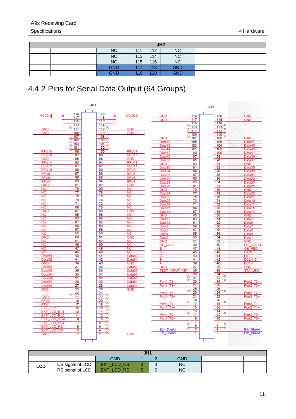| JH2        |     |     |            |  |  |
|------------|-----|-----|------------|--|--|
| NC         | 111 | 112 | <b>NC</b>  |  |  |
| <b>NC</b>  | 113 | 114 | <b>NC</b>  |  |  |
| <b>NC</b>  | 115 | 116 | NC         |  |  |
| <b>GND</b> | 117 | 118 | <b>GND</b> |  |  |
| <b>GND</b> | 119 | 120 | <b>GND</b> |  |  |

## <span id="page-14-0"></span>4.4.2 Pins for Serial Data Output (64 Groups)



| JH1 |                  |                  |  |          |            |  |
|-----|------------------|------------------|--|----------|------------|--|
|     |                  | <b>GND</b>       |  | ∽<br>. . | <b>GND</b> |  |
| LCD | CS signal of LCD | / CS<br>EXT LCD  |  |          | <b>NC</b>  |  |
|     | RS signal of LCD | EXT<br>RS<br>LCD |  | $\sim$   | <b>NC</b>  |  |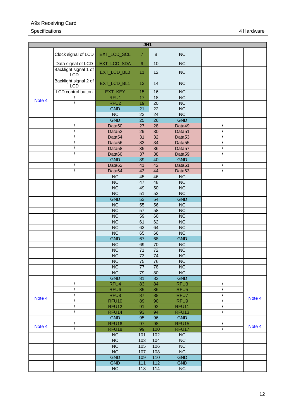#### A9s Receiving Card Specifications 4 Hardware 2001 12:00 12:00 12:00 12:00 12:00 12:00 12:00 12:00 12:00 12:00 12:00 12:00 12:00 12:00 12:00 12:00 12:00 12:00 12:00 12:00 12:00 12:00 12:00 12:00 12:00 12:00 12:00 12:00 12:00 12:00 12:00 12:00

| J <sub>H1</sub> |                                     |                          |                 |                 |                                  |        |
|-----------------|-------------------------------------|--------------------------|-----------------|-----------------|----------------------------------|--------|
|                 | Clock signal of LCD                 | EXT_LCD_SCL              | $\overline{7}$  | $\,8\,$         | <b>NC</b>                        |        |
|                 | Data signal of LCD                  | EXT_LCD_SDA              | $\overline{9}$  | 10              | $\overline{\text{NC}}$           |        |
|                 | Backlight signal 1 of<br><b>LCD</b> | EXT_LCD_BL0              | 11              | 12              | <b>NC</b>                        |        |
|                 | Backlight signal 2 of<br><b>LCD</b> | EXT_LCD_BL1              | 13              | 14              | <b>NC</b>                        |        |
|                 | LCD control button                  | EXT_KEY                  | 15              | 16              | <b>NC</b>                        |        |
| Note 4          |                                     | RFU1                     | 17              | 18              | $\overline{\text{NC}}$           |        |
|                 | $\prime$                            | RFU <sub>2</sub>         | 19              | $\overline{20}$ | NC                               |        |
|                 |                                     | <b>GND</b>               | 21              | 22              | <b>NC</b>                        |        |
|                 |                                     | NC                       | 23              | 24              | $\overline{NC}$                  |        |
|                 |                                     | <b>GND</b>               | $\overline{25}$ | 26              | <b>GND</b>                       |        |
|                 | $\prime$                            | Data <sub>50</sub>       | 27              | 28              | Data49                           |        |
|                 |                                     | Data <sub>52</sub>       | 29              | 30              | Data51                           |        |
|                 |                                     | Data <sub>54</sub>       | 31              | 32              | Data <sub>53</sub>               |        |
|                 | /                                   | Data <sub>56</sub>       | 33              | $\overline{34}$ | Data <sub>55</sub>               |        |
|                 | $\prime$                            | Data <sub>58</sub>       | 35              | 36              | Data <sub>57</sub>               |        |
|                 |                                     | Data60<br><b>GND</b>     | 37<br>39        | 38<br>40        | Data <sub>59</sub><br><b>GND</b> |        |
|                 |                                     | Data62                   | 41              | 42              | Data61                           |        |
|                 |                                     | Data64                   | 43              | 44              | Data63                           |        |
|                 |                                     | $\overline{\text{NC}}$   | 45              | 46              | <b>NC</b>                        |        |
|                 |                                     | $\overline{\text{NC}}$   | 47              | $\overline{48}$ | NC                               |        |
|                 |                                     | $\overline{\text{NC}}$   | 49              | 50              | NC                               |        |
|                 |                                     | $\overline{\text{NC}}$   | $\overline{51}$ | $\overline{52}$ | NC                               |        |
|                 |                                     | <b>GND</b>               | $\overline{53}$ | 54              | <b>GND</b>                       |        |
|                 |                                     | $\overline{\text{NC}}$   | $\overline{55}$ | $\overline{56}$ | $\overline{NC}$                  |        |
|                 |                                     | $\overline{\text{NC}}$   | 57              | 58              | $\overline{\text{NC}}$           |        |
|                 |                                     | <b>NC</b>                | 59              | 60              | <b>NC</b>                        |        |
|                 |                                     | $\overline{\text{NC}}$   | 61              | 62              | $\overline{\text{NC}}$           |        |
|                 |                                     | $\overline{\text{NC}}$   | 63              | 64              | <b>NC</b>                        |        |
|                 |                                     | $\overline{\text{NC}}$   | 65              | 66              | $\overline{\text{NC}}$           |        |
|                 |                                     | <b>GND</b>               | 67              | 68              | <b>GND</b>                       |        |
|                 |                                     | NC                       | 69              | 70              | <b>NC</b>                        |        |
|                 |                                     | $\overline{\text{NC}}$   | $\overline{71}$ | $\overline{72}$ | NC                               |        |
|                 |                                     | $\overline{\text{NC}}$   | 73              | 74              | $\overline{\text{NC}}$           |        |
|                 |                                     | $\overline{\text{NC}}$   | $\overline{75}$ | 76              | $\overline{\text{NC}}$           |        |
|                 |                                     | <b>NC</b>                | 77              | 78              | <b>NC</b>                        |        |
|                 |                                     | $\overline{\text{NC}}$   | 79              | 80              | $\overline{\text{NC}}$           |        |
|                 |                                     | <b>GND</b>               | 81              | 82              | <b>GND</b>                       |        |
|                 |                                     | RFU4                     | 83              | 84              | RFU <sub>3</sub>                 |        |
|                 |                                     | RFU <sub>6</sub>         | 85              | 86              | RFU <sub>5</sub>                 |        |
| Note 4          |                                     | RFU8                     | 87              | 88              | RFU7                             | Note 4 |
|                 | $\prime$                            | RFU <sub>10</sub>        | 89              | 90              | RFU9                             |        |
|                 | /                                   | RFU <sub>12</sub>        | 91              | 92              | RFU11                            |        |
|                 |                                     | RFU <sub>14</sub>        | 93              | 94              | RFU <sub>13</sub>                |        |
|                 |                                     | <b>GND</b>               | 95              | 96              | <b>GND</b>                       |        |
| Note 4          |                                     | RFU <sub>16</sub>        | 97              | 98              | RFU <sub>15</sub>                | Note 4 |
|                 | $\prime$                            | RFU <sub>18</sub>        | 99              | 100             | RFU17                            |        |
|                 |                                     | <b>NC</b>                | 101             | 102             | <b>NC</b>                        |        |
|                 |                                     | <b>NC</b>                | 103             | 104             | <b>NC</b>                        |        |
|                 |                                     | <b>NC</b>                | 105             | 106             | <b>NC</b>                        |        |
|                 |                                     | $\overline{\text{NC}}$   | 107             | 108             | NC<br><b>GND</b>                 |        |
|                 |                                     | <b>GND</b><br><b>GND</b> | 109<br>111      | 110<br>112      | <b>GND</b>                       |        |
|                 |                                     | $\overline{\text{NC}}$   | 113             | 114             | NC                               |        |
|                 |                                     |                          |                 |                 |                                  |        |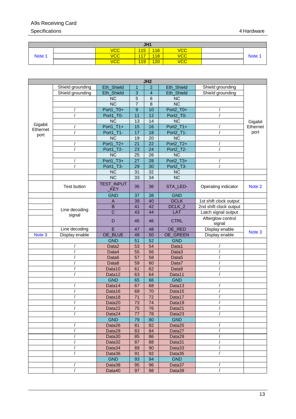### A9s Receiving Card

#### Specifications 4 Hardware 2001 12:00 12:00 12:00 12:00 12:00 12:00 12:00 12:00 12:00 12:00 12:00 12:00 12:00 12:00 12:00 12:00 12:00 12:00 12:00 12:00 12:00 12:00 12:00 12:00 12:00 12:00 12:00 12:00 12:00 12:00 12:00 12:00

| JH <sub>1</sub> |  |            |     |     |            |             |
|-----------------|--|------------|-----|-----|------------|-------------|
|                 |  | <b>VCC</b> | 115 | 116 | <b>VCC</b> |             |
| Note 1          |  | <b>VCC</b> | 117 | 118 | <b>VCC</b> | <b>Note</b> |
|                 |  | <b>VCC</b> | 119 | 120 | <b>VCC</b> |             |

| JH2              |                  |                          |                 |                 |                        |                             |          |
|------------------|------------------|--------------------------|-----------------|-----------------|------------------------|-----------------------------|----------|
|                  | Shield grounding | Eth_Shield               | $\mathbf{1}$    | $\overline{2}$  | Eth_Shield             | Shield grounding            |          |
|                  | Shield grounding | Eth_Shield               | 3               | $\overline{4}$  | Eth_Shield             | Shield grounding            |          |
|                  |                  | $\overline{\text{NC}}$   | 5               | $\,6$           | NC                     |                             |          |
|                  |                  | $\overline{\text{NC}}$   | 7               | 8               | NC                     |                             |          |
|                  |                  | Port1_T0+                | 9               | 10              | Port2_T0+              |                             |          |
|                  |                  | Port1_T0-                | 11              | 12              | Port2_T0-              |                             |          |
|                  |                  | <b>NC</b>                | 13              | 14              | <b>NC</b>              |                             | Gigabit  |
| Gigabit          |                  | Port1_T1+                | 15              | 16              | Port2_T1+              |                             | Ethernet |
| Ethernet<br>port |                  | Port1_T1-                | 17              | 18              | Port2_T1-              |                             | port     |
|                  |                  | $\overline{\text{NC}}$   | 19              | 20              | $\overline{\text{NC}}$ |                             |          |
|                  |                  | Port1_T2+                | 21              | 22              | Port2_T2+              |                             |          |
|                  |                  | Port1_T2-                | 23              | 24              | Port2_T2-              |                             |          |
|                  |                  | $\overline{\text{NC}}$   | 25              | $\overline{26}$ | NC                     |                             |          |
|                  |                  | Port1_T3+                | 27              | 28              | Port2_T3+              |                             |          |
|                  |                  | Port1_T3-                | 29              | 30              | Port2_T3-              |                             |          |
|                  |                  | <b>NC</b>                | 31              | 32              | <b>NC</b>              |                             |          |
|                  |                  | $\overline{\text{NC}}$   | 33              | 34              | NC                     |                             |          |
|                  | Test button      | TEST_INPUT<br><b>KEY</b> | 35              | 36              | STA_LED-               | Operating indicator         | Note 2   |
|                  |                  | <b>GND</b>               | 37              | 38              | <b>GND</b>             |                             |          |
|                  |                  | A                        | 39              | 40              | <b>DCLK</b>            | 1st shift clock output      |          |
|                  |                  | B                        | 41              | 42              | DCLK_2                 | 2nd shift clock output      |          |
|                  | Line decoding    | $\overline{C}$           | 43              | 44              | LAT                    | Latch signal output         |          |
|                  | signal           | D                        | 45              | 46              | <b>CTRL</b>            | Afterglow control<br>signal |          |
|                  | Line decoding    | E                        | 47              | 48              | OE_RED                 | Display enable              |          |
| Note 3           | Display enable   | OE_BLUE                  | 49              | 50              | OE_GREEN               | Display enable              | Note 3   |
|                  |                  | <b>GND</b>               | 51              | 52              | <b>GND</b>             |                             |          |
|                  |                  | Data <sub>2</sub>        | 53              | 54              | Data1                  |                             |          |
|                  |                  | Data4                    | 55              | $\overline{56}$ | Data3                  |                             |          |
|                  |                  | Data6                    | 57              | 58              | Data <sub>5</sub>      |                             |          |
|                  |                  | Data8                    | 59              | 60              | Data7                  |                             |          |
|                  |                  | Data10                   | 61              | 62              | Data9                  |                             |          |
|                  |                  | Data12                   | 63              | 64              | Data11                 |                             |          |
|                  |                  | <b>GND</b>               | 65              | 66              | <b>GND</b>             |                             |          |
|                  |                  | Data14                   | 67              | 68              | Data13                 |                             |          |
|                  |                  | Data16                   | 69              | 70              | Data15                 |                             |          |
|                  |                  | Data18                   | 71              | 72              | Data17                 |                             |          |
|                  | $\prime$         | Data20                   | $\overline{73}$ | 74              | Data19                 |                             |          |
|                  |                  | Data <sub>22</sub>       | 75              | 76              | Data21                 |                             |          |
|                  |                  | Data24                   | 77              | 78              | Data23                 |                             |          |
|                  |                  | <b>GND</b>               | 79              | 80              | <b>GND</b>             |                             |          |
|                  |                  | Data26                   | 81              | 82              | Data25                 |                             |          |
|                  |                  | Data28                   | 83              | 84              | Data27                 |                             |          |
|                  |                  | Data30                   | 85              | 86              | Data29                 |                             |          |
|                  |                  | Data32                   | 87              | 88              | Data31                 |                             |          |
|                  |                  | Data34                   | 89              | 90              | Data33                 |                             |          |
|                  |                  | Data36                   | 91              | 92              | Data35                 |                             |          |
|                  |                  | <b>GND</b>               | 93              | 94              | <b>GND</b>             |                             |          |
|                  |                  | Data38                   | 95              | 96              | Data37                 |                             |          |
|                  |                  | Data40                   | 97              | 98              | Data39                 |                             |          |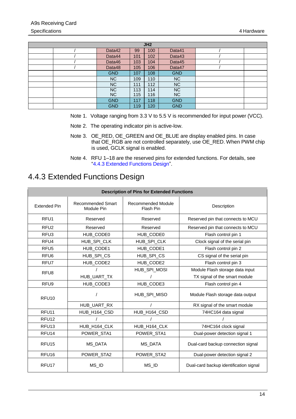| JH <sub>2</sub> |     |     |            |  |  |
|-----------------|-----|-----|------------|--|--|
| Data42          | 99  | 100 | Data41     |  |  |
| Data44          | 101 | 102 | Data43     |  |  |
| Data46          | 103 | 104 | Data45     |  |  |
| Data48          | 105 | 106 | Data47     |  |  |
| <b>GND</b>      | 107 | 108 | <b>GND</b> |  |  |
| <b>NC</b>       | 109 | 110 | NC.        |  |  |
| <b>NC</b>       | 111 | 112 | <b>NC</b>  |  |  |
| <b>NC</b>       | 113 | 114 | <b>NC</b>  |  |  |
| <b>NC</b>       | 115 | 116 | <b>NC</b>  |  |  |
| <b>GND</b>      | 117 | 118 | <b>GND</b> |  |  |
| <b>GND</b>      | 119 | 120 | <b>GND</b> |  |  |

- <span id="page-17-2"></span>Note 1. Voltage ranging from 3.3 V to 5.5 V is recommended for input power (VCC).
- <span id="page-17-3"></span>Note 2. The operating indicator pin is active-low.
- Note 3. OE\_RED, OE\_GREEN and OE\_BLUE are display enabled pins. In case that OE\_RGB are not controlled separately, use OE\_RED. When PWM chip is used, GCLK signal is enabled.
- Note 4. RFU 1–18 are the reserved pins for extended functions. For details, see ["4.4.3](#page-17-0) [Extended Functions](#page-17-0) Design".

## <span id="page-17-4"></span><span id="page-17-1"></span><span id="page-17-0"></span>4.4.3 Extended Functions Design

| <b>Description of Pins for Extended Functions</b> |                                        |                                 |                                        |  |  |  |
|---------------------------------------------------|----------------------------------------|---------------------------------|----------------------------------------|--|--|--|
| <b>Extended Pin</b>                               | <b>Recommended Smart</b><br>Module Pin | Recommended Module<br>Flash Pin | Description                            |  |  |  |
| RFU <sub>1</sub>                                  | Reserved                               | Reserved                        | Reserved pin that connects to MCU      |  |  |  |
| RFU <sub>2</sub>                                  | Reserved                               | Reserved                        | Reserved pin that connects to MCU      |  |  |  |
| RFU <sub>3</sub>                                  | HUB_CODE0                              | HUB_CODE0                       | Flash control pin 1                    |  |  |  |
| RFU <sub>4</sub>                                  | HUB_SPI_CLK                            | HUB_SPI_CLK                     | Clock signal of the serial pin         |  |  |  |
| RFU <sub>5</sub>                                  | HUB_CODE1                              | HUB_CODE1                       | Flash control pin 2                    |  |  |  |
| RFU <sub>6</sub>                                  | HUB_SPI_CS                             | HUB_SPI_CS                      | CS signal of the serial pin            |  |  |  |
| RFU7                                              | HUB_CODE2                              | HUB_CODE2                       | Flash control pin 3                    |  |  |  |
| RFU <sub>8</sub>                                  |                                        | HUB_SPI_MOSI                    | Module Flash storage data input        |  |  |  |
|                                                   | HUB_UART_TX                            |                                 | TX signal of the smart module          |  |  |  |
| RFU <sub>9</sub>                                  | HUB_CODE3                              | HUB_CODE3                       | Flash control pin 4                    |  |  |  |
| RFU <sub>10</sub>                                 |                                        | HUB SPI MISO                    | Module Flash storage data output       |  |  |  |
|                                                   | HUB_UART_RX                            |                                 | RX signal of the smart module          |  |  |  |
| RFU <sub>11</sub>                                 | HUB H164 CSD                           | HUB H164 CSD                    | 74HC164 data signal                    |  |  |  |
| RFU <sub>12</sub>                                 |                                        |                                 |                                        |  |  |  |
| RFU <sub>13</sub>                                 | HUB_H164_CLK                           | HUB_H164_CLK                    | 74HC164 clock signal                   |  |  |  |
| RFU <sub>14</sub>                                 | POWER_STA1                             | POWER_STA1                      | Dual-power detection signal 1          |  |  |  |
| RFU <sub>15</sub>                                 | MS_DATA                                | MS_DATA                         | Dual-card backup connection signal     |  |  |  |
| RFU <sub>16</sub>                                 | POWER_STA2                             | POWER_STA2                      | Dual-power detection signal 2          |  |  |  |
| RFU <sub>17</sub>                                 | MS ID                                  | MS ID                           | Dual-card backup identification signal |  |  |  |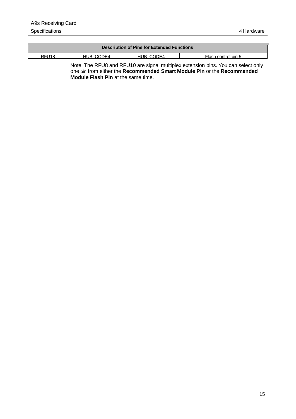|           | <b>Description of Pins for Extended Functions</b> |                     |
|-----------|---------------------------------------------------|---------------------|
| HUR CODE4 | HUR CODE4                                         | Flash control pin 5 |
|           |                                                   |                     |

Note: The RFU8 and RFU10 are signal multiplex extension pins. You can select only one pin from either the **Recommended Smart Module Pin** or the **Recommended Module Flash Pin** at the same time.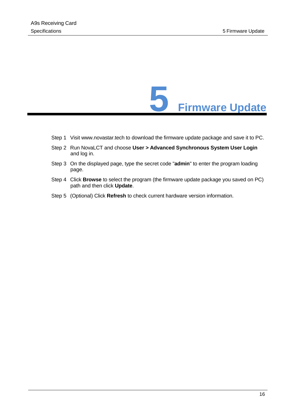

- <span id="page-19-0"></span>Step 1 Visit www.novastar.tech to download the firmware update package and save it to PC.
- Step 2 Run NovaLCT and choose **User > Advanced Synchronous System User Login** and log in.
- Step 3 On the displayed page, type the secret code "**admin**" to enter the program loading page.
- Step 4 Click **Browse** to select the program (the firmware update package you saved on PC) path and then click **Update**.
- Step 5 (Optional) Click **Refresh** to check current hardware version information.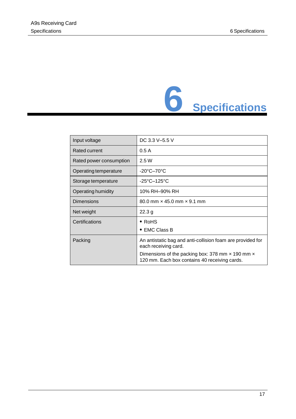

<span id="page-20-0"></span>

| Input voltage           | DC 3.3 V-5.5 V                                                                                    |
|-------------------------|---------------------------------------------------------------------------------------------------|
| Rated current           | 0.5A                                                                                              |
| Rated power consumption | 2.5W                                                                                              |
| Operating temperature   | $-20^{\circ}$ C $-70^{\circ}$ C                                                                   |
| Storage temperature     | $-25^{\circ}$ C $-125^{\circ}$ C                                                                  |
| Operating humidity      | 10% RH-90% RH                                                                                     |
| <b>Dimensions</b>       | 80.0 mm $\times$ 45.0 mm $\times$ 9.1 mm                                                          |
| Net weight              | 22.3 g                                                                                            |
| Certifications          | $\bullet$ RoHS                                                                                    |
|                         | $\bullet$ EMC Class B                                                                             |
| Packing                 | An antistatic bag and anti-collision foam are provided for<br>each receiving card.                |
|                         | Dimensions of the packing box: 378 mm x 190 mm x<br>120 mm. Each box contains 40 receiving cards. |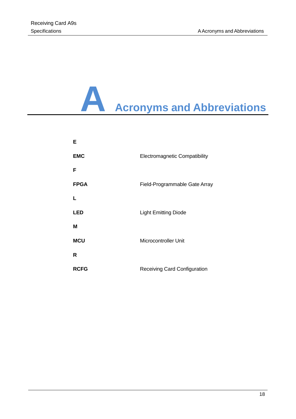# <span id="page-21-0"></span>**A Acronyms and Abbreviations**

| Е           |                                      |
|-------------|--------------------------------------|
| <b>EMC</b>  | <b>Electromagnetic Compatibility</b> |
| F           |                                      |
| <b>FPGA</b> | Field-Programmable Gate Array        |
| L           |                                      |
| <b>LED</b>  | <b>Light Emitting Diode</b>          |
| М           |                                      |
| <b>MCU</b>  | <b>Microcontroller Unit</b>          |
| R           |                                      |
| <b>RCFG</b> | <b>Receiving Card Configuration</b>  |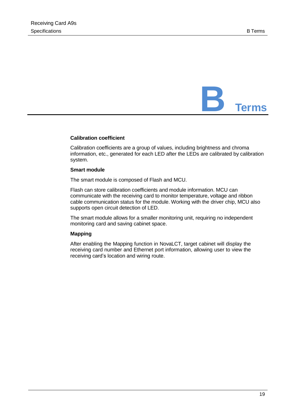<span id="page-22-0"></span>

#### **Calibration coefficient**

Calibration coefficients are a group of values, including brightness and chroma information, etc., generated for each LED after the LEDs are calibrated by calibration system.

#### **Smart module**

The smart module is composed of Flash and MCU.

Flash can store calibration coefficients and module information. MCU can communicate with the receiving card to monitor temperature, voltage and ribbon cable communication status for the module. Working with the driver chip, MCU also supports open circuit detection of LED.

The smart module allows for a smaller monitoring unit, requiring no independent monitoring card and saving cabinet space.

#### **Mapping**

After enabling the Mapping function in NovaLCT, target cabinet will display the receiving card number and Ethernet port information, allowing user to view the receiving card's location and wiring route.